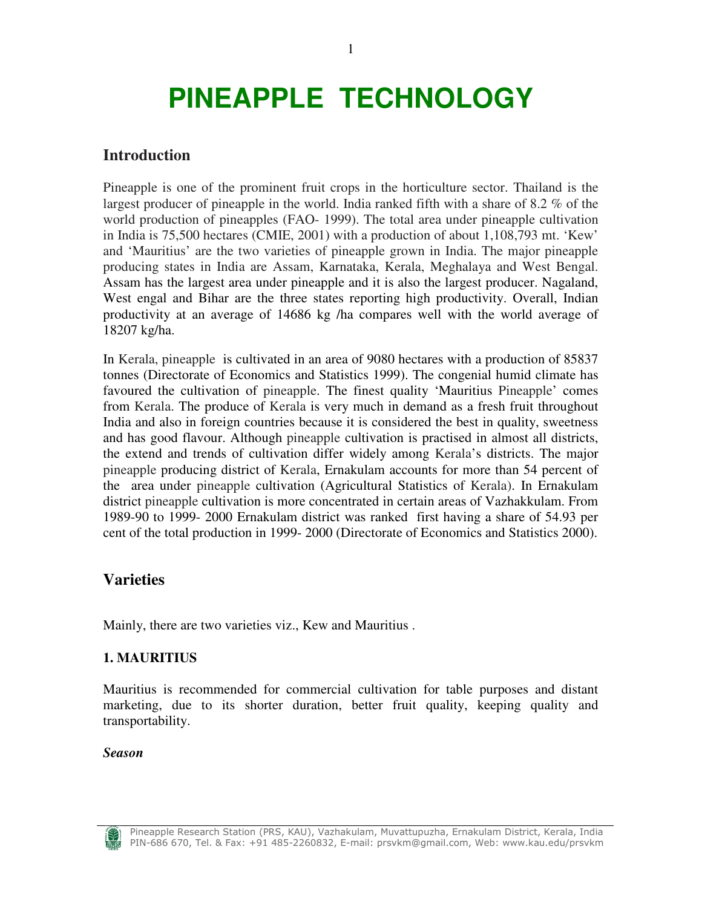# **PINEAPPLE TECHNOLOGY**

### **Introduction**

Pineapple is one of the prominent fruit crops in the horticulture sector. Thailand is the largest producer of pineapple in the world. India ranked fifth with a share of 8.2 % of the world production of pineapples (FAO- 1999). The total area under pineapple cultivation in India is 75,500 hectares (CMIE, 2001) with a production of about 1,108,793 mt. 'Kew' and 'Mauritius' are the two varieties of pineapple grown in India. The major pineapple producing states in India are Assam, Karnataka, Kerala, Meghalaya and West Bengal. Assam has the largest area under pineapple and it is also the largest producer. Nagaland, West engal and Bihar are the three states reporting high productivity. Overall, Indian productivity at an average of 14686 kg /ha compares well with the world average of 18207 kg/ha.

In Kerala, pineapple is cultivated in an area of 9080 hectares with a production of 85837 tonnes (Directorate of Economics and Statistics 1999). The congenial humid climate has favoured the cultivation of pineapple. The finest quality 'Mauritius Pineapple' comes from Kerala. The produce of Kerala is very much in demand as a fresh fruit throughout India and also in foreign countries because it is considered the best in quality, sweetness and has good flavour. Although pineapple cultivation is practised in almost all districts, the extend and trends of cultivation differ widely among Kerala's districts. The major pineapple producing district of Kerala, Ernakulam accounts for more than 54 percent of the area under pineapple cultivation (Agricultural Statistics of Kerala). In Ernakulam district pineapple cultivation is more concentrated in certain areas of Vazhakkulam. From 1989-90 to 1999- 2000 Ernakulam district was ranked first having a share of 54.93 per cent of the total production in 1999- 2000 (Directorate of Economics and Statistics 2000).

### **Varieties**

Mainly, there are two varieties viz., Kew and Mauritius .

### **1. MAURITIUS**

Mauritius is recommended for commercial cultivation for table purposes and distant marketing, due to its shorter duration, better fruit quality, keeping quality and transportability.

#### *Season*

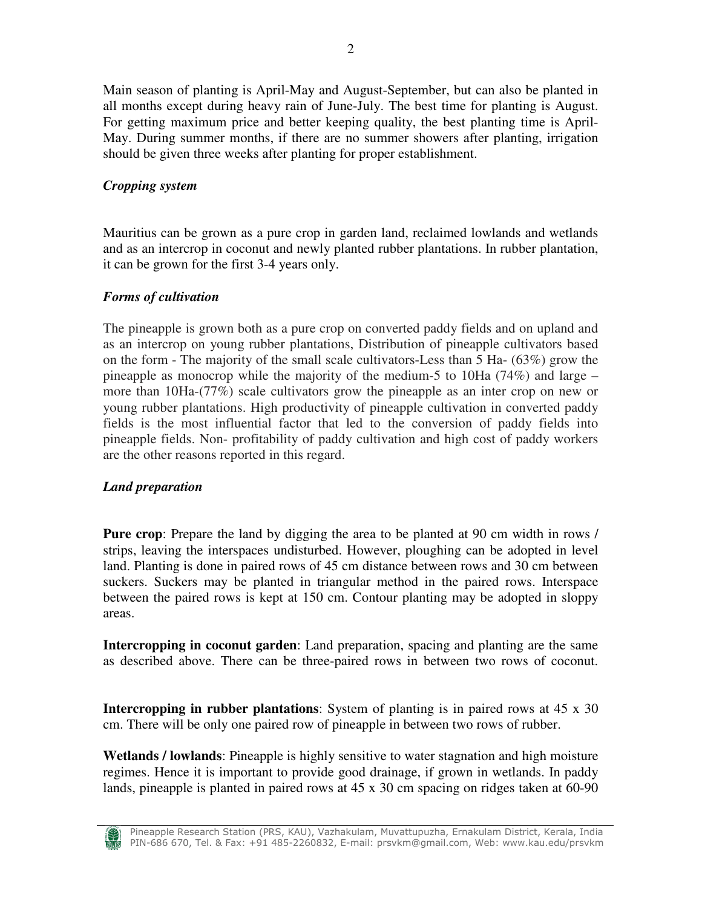Main season of planting is April-May and August-September, but can also be planted in all months except during heavy rain of June-July. The best time for planting is August. For getting maximum price and better keeping quality, the best planting time is April-May. During summer months, if there are no summer showers after planting, irrigation should be given three weeks after planting for proper establishment.

### *Cropping system*

Mauritius can be grown as a pure crop in garden land, reclaimed lowlands and wetlands and as an intercrop in coconut and newly planted rubber plantations. In rubber plantation, it can be grown for the first 3-4 years only.

### *Forms of cultivation*

The pineapple is grown both as a pure crop on converted paddy fields and on upland and as an intercrop on young rubber plantations, Distribution of pineapple cultivators based on the form - The majority of the small scale cultivators-Less than 5 Ha- (63%) grow the pineapple as monocrop while the majority of the medium-5 to 10Ha  $(74%)$  and large – more than 10Ha-(77%) scale cultivators grow the pineapple as an inter crop on new or young rubber plantations. High productivity of pineapple cultivation in converted paddy fields is the most influential factor that led to the conversion of paddy fields into pineapple fields. Non- profitability of paddy cultivation and high cost of paddy workers are the other reasons reported in this regard.

### *Land preparation*

**Pure crop**: Prepare the land by digging the area to be planted at 90 cm width in rows / strips, leaving the interspaces undisturbed. However, ploughing can be adopted in level land. Planting is done in paired rows of 45 cm distance between rows and 30 cm between suckers. Suckers may be planted in triangular method in the paired rows. Interspace between the paired rows is kept at 150 cm. Contour planting may be adopted in sloppy areas.

**Intercropping in coconut garden**: Land preparation, spacing and planting are the same as described above. There can be three-paired rows in between two rows of coconut.

**Intercropping in rubber plantations**: System of planting is in paired rows at 45 x 30 cm. There will be only one paired row of pineapple in between two rows of rubber.

**Wetlands / lowlands**: Pineapple is highly sensitive to water stagnation and high moisture regimes. Hence it is important to provide good drainage, if grown in wetlands. In paddy lands, pineapple is planted in paired rows at 45 x 30 cm spacing on ridges taken at 60-90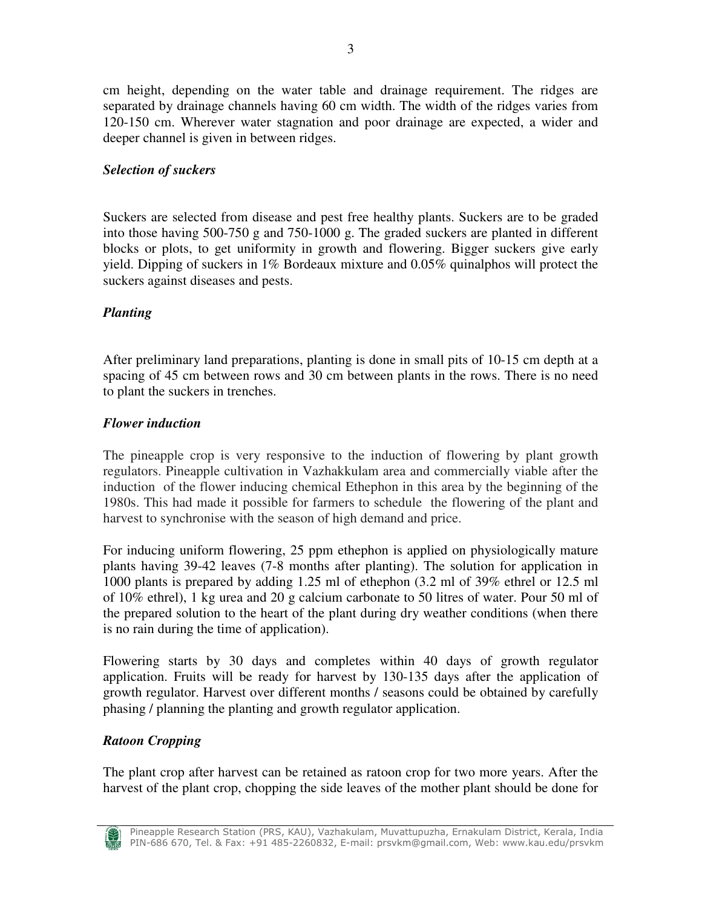cm height, depending on the water table and drainage requirement. The ridges are separated by drainage channels having 60 cm width. The width of the ridges varies from 120-150 cm. Wherever water stagnation and poor drainage are expected, a wider and deeper channel is given in between ridges.

### *Selection of suckers*

Suckers are selected from disease and pest free healthy plants. Suckers are to be graded into those having 500-750 g and 750-1000 g. The graded suckers are planted in different blocks or plots, to get uniformity in growth and flowering. Bigger suckers give early yield. Dipping of suckers in 1% Bordeaux mixture and 0.05% quinalphos will protect the suckers against diseases and pests.

### *Planting*

After preliminary land preparations, planting is done in small pits of 10-15 cm depth at a spacing of 45 cm between rows and 30 cm between plants in the rows. There is no need to plant the suckers in trenches.

### *Flower induction*

The pineapple crop is very responsive to the induction of flowering by plant growth regulators. Pineapple cultivation in Vazhakkulam area and commercially viable after the induction of the flower inducing chemical Ethephon in this area by the beginning of the 1980s. This had made it possible for farmers to schedule the flowering of the plant and harvest to synchronise with the season of high demand and price.

For inducing uniform flowering, 25 ppm ethephon is applied on physiologically mature plants having 39-42 leaves (7-8 months after planting). The solution for application in 1000 plants is prepared by adding 1.25 ml of ethephon (3.2 ml of 39% ethrel or 12.5 ml of 10% ethrel), 1 kg urea and 20 g calcium carbonate to 50 litres of water. Pour 50 ml of the prepared solution to the heart of the plant during dry weather conditions (when there is no rain during the time of application).

Flowering starts by 30 days and completes within 40 days of growth regulator application. Fruits will be ready for harvest by 130-135 days after the application of growth regulator. Harvest over different months / seasons could be obtained by carefully phasing / planning the planting and growth regulator application.

### *Ratoon Cropping*

The plant crop after harvest can be retained as ratoon crop for two more years. After the harvest of the plant crop, chopping the side leaves of the mother plant should be done for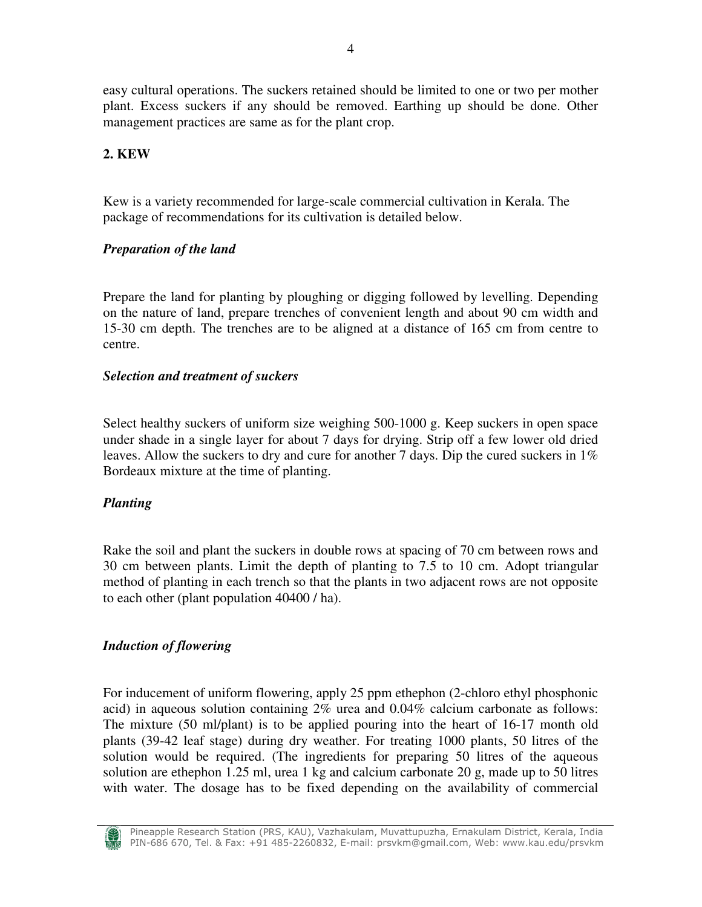easy cultural operations. The suckers retained should be limited to one or two per mother plant. Excess suckers if any should be removed. Earthing up should be done. Other management practices are same as for the plant crop.

### **2. KEW**

Kew is a variety recommended for large-scale commercial cultivation in Kerala. The package of recommendations for its cultivation is detailed below.

### *Preparation of the land*

Prepare the land for planting by ploughing or digging followed by levelling. Depending on the nature of land, prepare trenches of convenient length and about 90 cm width and 15-30 cm depth. The trenches are to be aligned at a distance of 165 cm from centre to centre.

### *Selection and treatment of suckers*

Select healthy suckers of uniform size weighing 500-1000 g. Keep suckers in open space under shade in a single layer for about 7 days for drying. Strip off a few lower old dried leaves. Allow the suckers to dry and cure for another 7 days. Dip the cured suckers in 1% Bordeaux mixture at the time of planting.

#### *Planting*

Rake the soil and plant the suckers in double rows at spacing of 70 cm between rows and 30 cm between plants. Limit the depth of planting to 7.5 to 10 cm. Adopt triangular method of planting in each trench so that the plants in two adjacent rows are not opposite to each other (plant population 40400 / ha).

### *Induction of flowering*

For inducement of uniform flowering, apply 25 ppm ethephon (2-chloro ethyl phosphonic acid) in aqueous solution containing 2% urea and 0.04% calcium carbonate as follows: The mixture (50 ml/plant) is to be applied pouring into the heart of 16-17 month old plants (39-42 leaf stage) during dry weather. For treating 1000 plants, 50 litres of the solution would be required. (The ingredients for preparing 50 litres of the aqueous solution are ethephon 1.25 ml, urea 1 kg and calcium carbonate 20 g, made up to 50 litres with water. The dosage has to be fixed depending on the availability of commercial

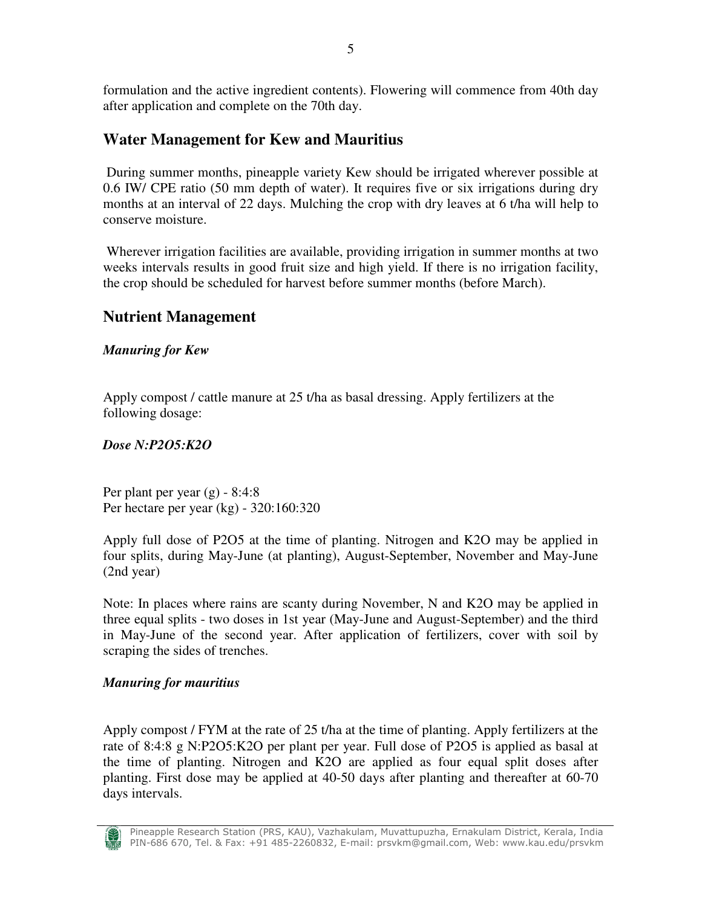formulation and the active ingredient contents). Flowering will commence from 40th day after application and complete on the 70th day.

# **Water Management for Kew and Mauritius**

 During summer months, pineapple variety Kew should be irrigated wherever possible at 0.6 IW/ CPE ratio (50 mm depth of water). It requires five or six irrigations during dry months at an interval of 22 days. Mulching the crop with dry leaves at 6 t/ha will help to conserve moisture.

 Wherever irrigation facilities are available, providing irrigation in summer months at two weeks intervals results in good fruit size and high yield. If there is no irrigation facility, the crop should be scheduled for harvest before summer months (before March).

# **Nutrient Management**

### *Manuring for Kew*

Apply compost / cattle manure at 25 t/ha as basal dressing. Apply fertilizers at the following dosage:

### *Dose N:P2O5:K2O*

Per plant per year  $(g)$  - 8:4:8 Per hectare per year (kg) - 320:160:320

Apply full dose of P2O5 at the time of planting. Nitrogen and K2O may be applied in four splits, during May-June (at planting), August-September, November and May-June (2nd year)

Note: In places where rains are scanty during November, N and K2O may be applied in three equal splits - two doses in 1st year (May-June and August-September) and the third in May-June of the second year. After application of fertilizers, cover with soil by scraping the sides of trenches.

### *Manuring for mauritius*

Apply compost / FYM at the rate of 25 t/ha at the time of planting. Apply fertilizers at the rate of 8:4:8 g N:P2O5:K2O per plant per year. Full dose of P2O5 is applied as basal at the time of planting. Nitrogen and K2O are applied as four equal split doses after planting. First dose may be applied at 40-50 days after planting and thereafter at 60-70 days intervals.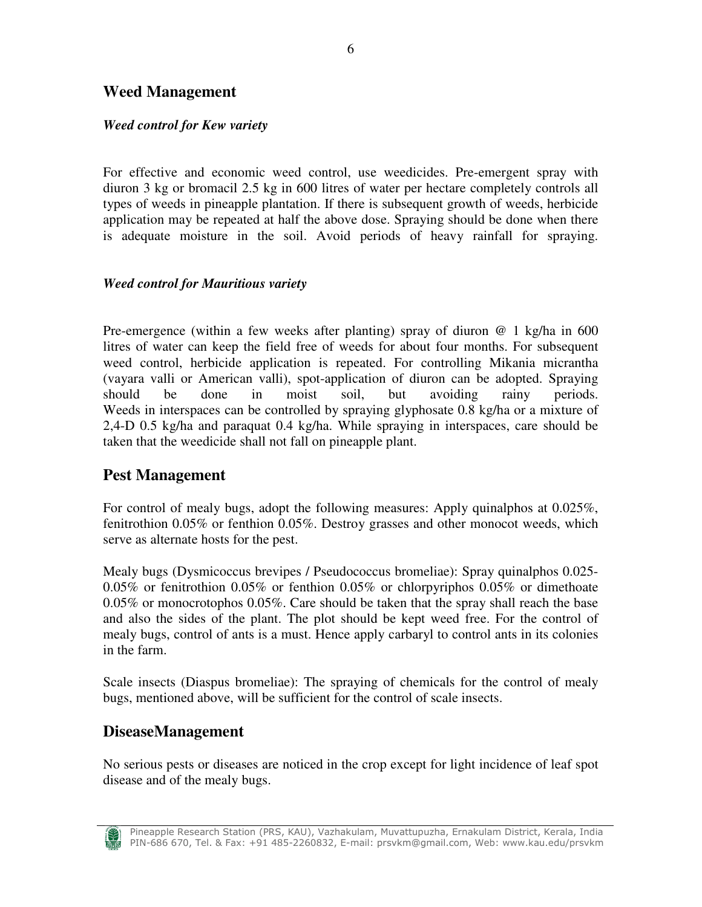### **Weed Management**

### *Weed control for Kew variety*

For effective and economic weed control, use weedicides. Pre-emergent spray with diuron 3 kg or bromacil 2.5 kg in 600 litres of water per hectare completely controls all types of weeds in pineapple plantation. If there is subsequent growth of weeds, herbicide application may be repeated at half the above dose. Spraying should be done when there is adequate moisture in the soil. Avoid periods of heavy rainfall for spraying.

### *Weed control for Mauritious variety*

Pre-emergence (within a few weeks after planting) spray of diuron  $@$  1 kg/ha in 600 litres of water can keep the field free of weeds for about four months. For subsequent weed control, herbicide application is repeated. For controlling Mikania micrantha (vayara valli or American valli), spot-application of diuron can be adopted. Spraying should be done in moist soil, but avoiding rainy periods. Weeds in interspaces can be controlled by spraying glyphosate 0.8 kg/ha or a mixture of 2,4-D 0.5 kg/ha and paraquat 0.4 kg/ha. While spraying in interspaces, care should be taken that the weedicide shall not fall on pineapple plant.

### **Pest Management**

For control of mealy bugs, adopt the following measures: Apply quinalphos at 0.025%, fenitrothion 0.05% or fenthion 0.05%. Destroy grasses and other monocot weeds, which serve as alternate hosts for the pest.

Mealy bugs (Dysmicoccus brevipes / Pseudococcus bromeliae): Spray quinalphos 0.025- 0.05% or fenitrothion 0.05% or fenthion 0.05% or chlorpyriphos 0.05% or dimethoate 0.05% or monocrotophos 0.05%. Care should be taken that the spray shall reach the base and also the sides of the plant. The plot should be kept weed free. For the control of mealy bugs, control of ants is a must. Hence apply carbaryl to control ants in its colonies in the farm.

Scale insects (Diaspus bromeliae): The spraying of chemicals for the control of mealy bugs, mentioned above, will be sufficient for the control of scale insects.

### **DiseaseManagement**

No serious pests or diseases are noticed in the crop except for light incidence of leaf spot disease and of the mealy bugs.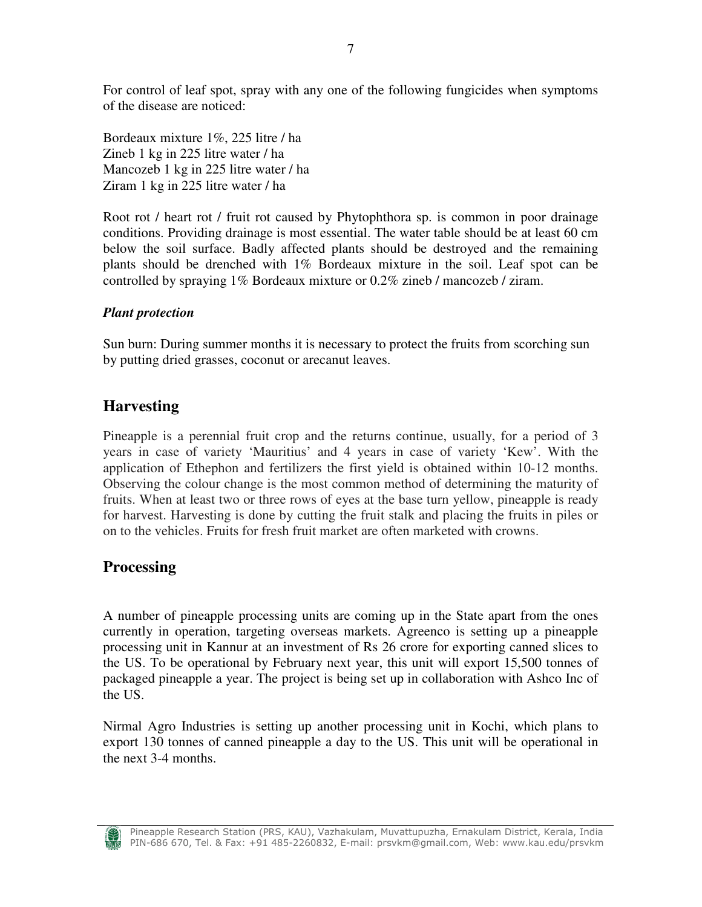For control of leaf spot, spray with any one of the following fungicides when symptoms of the disease are noticed:

Bordeaux mixture 1%, 225 litre / ha Zineb 1 kg in 225 litre water / ha Mancozeb 1 kg in 225 litre water / ha Ziram 1 kg in 225 litre water / ha

Root rot / heart rot / fruit rot caused by Phytophthora sp. is common in poor drainage conditions. Providing drainage is most essential. The water table should be at least 60 cm below the soil surface. Badly affected plants should be destroyed and the remaining plants should be drenched with 1% Bordeaux mixture in the soil. Leaf spot can be controlled by spraying 1% Bordeaux mixture or 0.2% zineb / mancozeb / ziram.

### *Plant protection*

Sun burn: During summer months it is necessary to protect the fruits from scorching sun by putting dried grasses, coconut or arecanut leaves.

### **Harvesting**

Pineapple is a perennial fruit crop and the returns continue, usually, for a period of 3 years in case of variety 'Mauritius' and 4 years in case of variety 'Kew'. With the application of Ethephon and fertilizers the first yield is obtained within 10-12 months. Observing the colour change is the most common method of determining the maturity of fruits. When at least two or three rows of eyes at the base turn yellow, pineapple is ready for harvest. Harvesting is done by cutting the fruit stalk and placing the fruits in piles or on to the vehicles. Fruits for fresh fruit market are often marketed with crowns.

### **Processing**

A number of pineapple processing units are coming up in the State apart from the ones currently in operation, targeting overseas markets. Agreenco is setting up a pineapple processing unit in Kannur at an investment of Rs 26 crore for exporting canned slices to the US. To be operational by February next year, this unit will export 15,500 tonnes of packaged pineapple a year. The project is being set up in collaboration with Ashco Inc of the US.

Nirmal Agro Industries is setting up another processing unit in Kochi, which plans to export 130 tonnes of canned pineapple a day to the US. This unit will be operational in the next 3-4 months.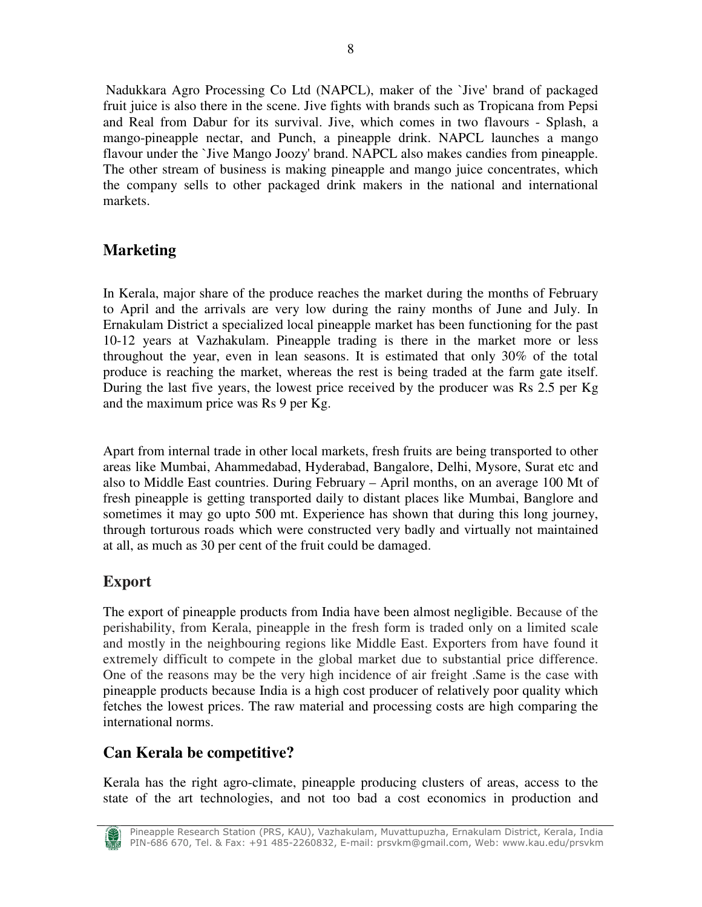Nadukkara Agro Processing Co Ltd (NAPCL), maker of the `Jive' brand of packaged fruit juice is also there in the scene. Jive fights with brands such as Tropicana from Pepsi and Real from Dabur for its survival. Jive, which comes in two flavours - Splash, a mango-pineapple nectar, and Punch, a pineapple drink. NAPCL launches a mango flavour under the `Jive Mango Joozy' brand. NAPCL also makes candies from pineapple. The other stream of business is making pineapple and mango juice concentrates, which the company sells to other packaged drink makers in the national and international markets.

# **Marketing**

In Kerala, major share of the produce reaches the market during the months of February to April and the arrivals are very low during the rainy months of June and July. In Ernakulam District a specialized local pineapple market has been functioning for the past 10-12 years at Vazhakulam. Pineapple trading is there in the market more or less throughout the year, even in lean seasons. It is estimated that only 30% of the total produce is reaching the market, whereas the rest is being traded at the farm gate itself. During the last five years, the lowest price received by the producer was Rs 2.5 per Kg and the maximum price was Rs 9 per Kg.

Apart from internal trade in other local markets, fresh fruits are being transported to other areas like Mumbai, Ahammedabad, Hyderabad, Bangalore, Delhi, Mysore, Surat etc and also to Middle East countries. During February – April months, on an average 100 Mt of fresh pineapple is getting transported daily to distant places like Mumbai, Banglore and sometimes it may go upto 500 mt. Experience has shown that during this long journey, through torturous roads which were constructed very badly and virtually not maintained at all, as much as 30 per cent of the fruit could be damaged.

# **Export**

The export of pineapple products from India have been almost negligible. Because of the perishability, from Kerala, pineapple in the fresh form is traded only on a limited scale and mostly in the neighbouring regions like Middle East. Exporters from have found it extremely difficult to compete in the global market due to substantial price difference. One of the reasons may be the very high incidence of air freight .Same is the case with pineapple products because India is a high cost producer of relatively poor quality which fetches the lowest prices. The raw material and processing costs are high comparing the international norms.

# **Can Kerala be competitive?**

Kerala has the right agro-climate, pineapple producing clusters of areas, access to the state of the art technologies, and not too bad a cost economics in production and